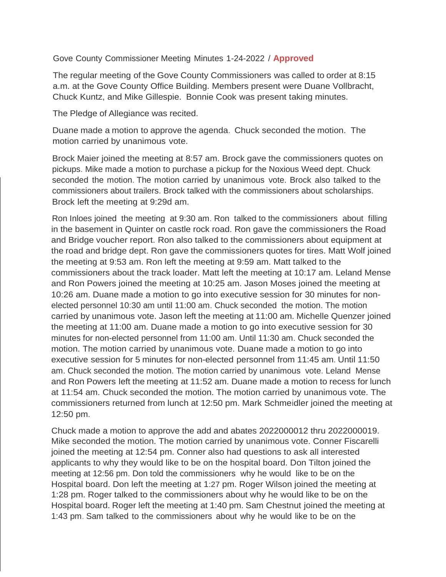## Gove County Commissioner Meeting Minutes 1-24-2022 / **Approved**

The regular meeting of the Gove County Commissioners was called to order at 8:15 a.m. at the Gove County Office Building. Members present were Duane Vollbracht, Chuck Kuntz, and Mike Gillespie. Bonnie Cook was present taking minutes.

The Pledge of Allegiance was recited.

Duane made a motion to approve the agenda. Chuck seconded the motion. The motion carried by unanimous vote.

Brock Maier joined the meeting at 8:57 am. Brock gave the commissioners quotes on pickups. Mike made a motion to purchase a pickup for the Noxious Weed dept. Chuck seconded the motion. The motion carried by unanimous vote. Brock also talked to the commissioners about trailers. Brock talked with the commissioners about scholarships. Brock left the meeting at 9:29d am.

Ron Inloes joined the meeting at 9:30 am. Ron talked to the commissioners about filling in the basement in Quinter on castle rock road. Ron gave the commissioners the Road and Bridge voucher report. Ron also talked to the commissioners about equipment at the road and bridge dept. Ron gave the commissioners quotes for tires. Matt Wolf joined the meeting at 9:53 am. Ron left the meeting at 9:59 am. Matt talked to the commissioners about the track loader. Matt left the meeting at 10:17 am. Leland Mense and Ron Powers joined the meeting at 10:25 am. Jason Moses joined the meeting at 10:26 am. Duane made a motion to go into executive session for 30 minutes for nonelected personnel 10:30 am until 11:00 am. Chuck seconded the motion. The motion carried by unanimous vote. Jason left the meeting at 11:00 am. Michelle Quenzer joined the meeting at 11:00 am. Duane made a motion to go into executive session for 30 minutes for non-elected personnel from 11:00 am. Until 11:30 am. Chuck seconded the motion. The motion carried by unanimous vote. Duane made a motion to go into executive session for 5 minutes for non-elected personnel from 11:45 am. Until 11:50 am. Chuck seconded the motion. The motion carried by unanimous vote. Leland Mense and Ron Powers left the meeting at 11:52 am. Duane made a motion to recess for lunch at 11:54 am. Chuck seconded the motion. The motion carried by unanimous vote. The commissioners returned from lunch at 12:50 pm. Mark Schmeidler joined the meeting at 12:50 pm.

Chuck made a motion to approve the add and abates 2022000012 thru 2022000019. Mike seconded the motion. The motion carried by unanimous vote. Conner Fiscarelli joined the meeting at 12:54 pm. Conner also had questions to ask all interested applicants to why they would like to be on the hospital board. Don Tilton joined the meeting at 12:56 pm. Don told the commissioners why he would like to be on the Hospital board. Don left the meeting at 1:27 pm. Roger Wilson joined the meeting at 1:28 pm. Roger talked to the commissioners about why he would like to be on the Hospital board. Roger left the meeting at 1:40 pm. Sam Chestnut joined the meeting at 1:43 pm. Sam talked to the commissioners about why he would like to be on the